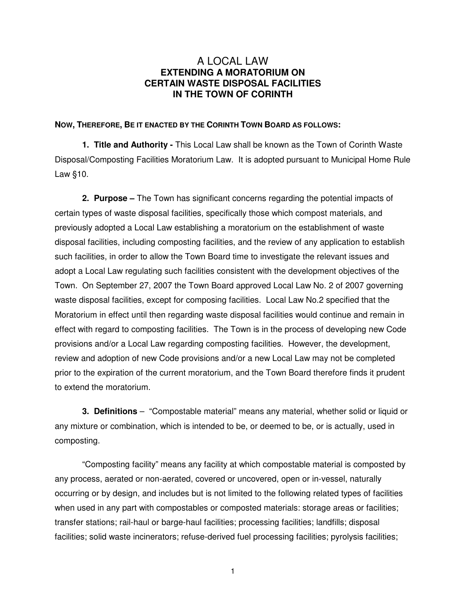## A LOCAL LAW **EXTENDING A MORATORIUM ON CERTAIN WASTE DISPOSAL FACILITIES IN THE TOWN OF CORINTH**

## **NOW, THEREFORE, BE IT ENACTED BY THE CORINTH TOWN BOARD AS FOLLOWS:**

**1. Title and Authority -** This Local Law shall be known as the Town of Corinth Waste Disposal/Composting Facilities Moratorium Law. It is adopted pursuant to Municipal Home Rule Law §10.

**2. Purpose –** The Town has significant concerns regarding the potential impacts of certain types of waste disposal facilities, specifically those which compost materials, and previously adopted a Local Law establishing a moratorium on the establishment of waste disposal facilities, including composting facilities, and the review of any application to establish such facilities, in order to allow the Town Board time to investigate the relevant issues and adopt a Local Law regulating such facilities consistent with the development objectives of the Town. On September 27, 2007 the Town Board approved Local Law No. 2 of 2007 governing waste disposal facilities, except for composing facilities. Local Law No.2 specified that the Moratorium in effect until then regarding waste disposal facilities would continue and remain in effect with regard to composting facilities. The Town is in the process of developing new Code provisions and/or a Local Law regarding composting facilities. However, the development, review and adoption of new Code provisions and/or a new Local Law may not be completed prior to the expiration of the current moratorium, and the Town Board therefore finds it prudent to extend the moratorium.

**3. Definitions** – "Compostable material" means any material, whether solid or liquid or any mixture or combination, which is intended to be, or deemed to be, or is actually, used in composting.

"Composting facility" means any facility at which compostable material is composted by any process, aerated or non-aerated, covered or uncovered, open or in-vessel, naturally occurring or by design, and includes but is not limited to the following related types of facilities when used in any part with compostables or composted materials: storage areas or facilities; transfer stations; rail-haul or barge-haul facilities; processing facilities; landfills; disposal facilities; solid waste incinerators; refuse-derived fuel processing facilities; pyrolysis facilities;

1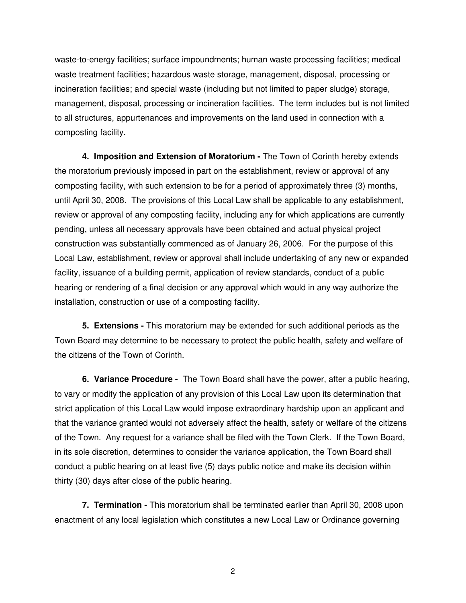waste-to-energy facilities; surface impoundments; human waste processing facilities; medical waste treatment facilities; hazardous waste storage, management, disposal, processing or incineration facilities; and special waste (including but not limited to paper sludge) storage, management, disposal, processing or incineration facilities. The term includes but is not limited to all structures, appurtenances and improvements on the land used in connection with a composting facility.

 **4. Imposition and Extension of Moratorium -** The Town of Corinth hereby extends the moratorium previously imposed in part on the establishment, review or approval of any composting facility, with such extension to be for a period of approximately three (3) months, until April 30, 2008. The provisions of this Local Law shall be applicable to any establishment, review or approval of any composting facility, including any for which applications are currently pending, unless all necessary approvals have been obtained and actual physical project construction was substantially commenced as of January 26, 2006. For the purpose of this Local Law, establishment, review or approval shall include undertaking of any new or expanded facility, issuance of a building permit, application of review standards, conduct of a public hearing or rendering of a final decision or any approval which would in any way authorize the installation, construction or use of a composting facility.

**5. Extensions -** This moratorium may be extended for such additional periods as the Town Board may determine to be necessary to protect the public health, safety and welfare of the citizens of the Town of Corinth.

**6. Variance Procedure -** The Town Board shall have the power, after a public hearing, to vary or modify the application of any provision of this Local Law upon its determination that strict application of this Local Law would impose extraordinary hardship upon an applicant and that the variance granted would not adversely affect the health, safety or welfare of the citizens of the Town. Any request for a variance shall be filed with the Town Clerk. If the Town Board, in its sole discretion, determines to consider the variance application, the Town Board shall conduct a public hearing on at least five (5) days public notice and make its decision within thirty (30) days after close of the public hearing.

**7. Termination -** This moratorium shall be terminated earlier than April 30, 2008 upon enactment of any local legislation which constitutes a new Local Law or Ordinance governing

2